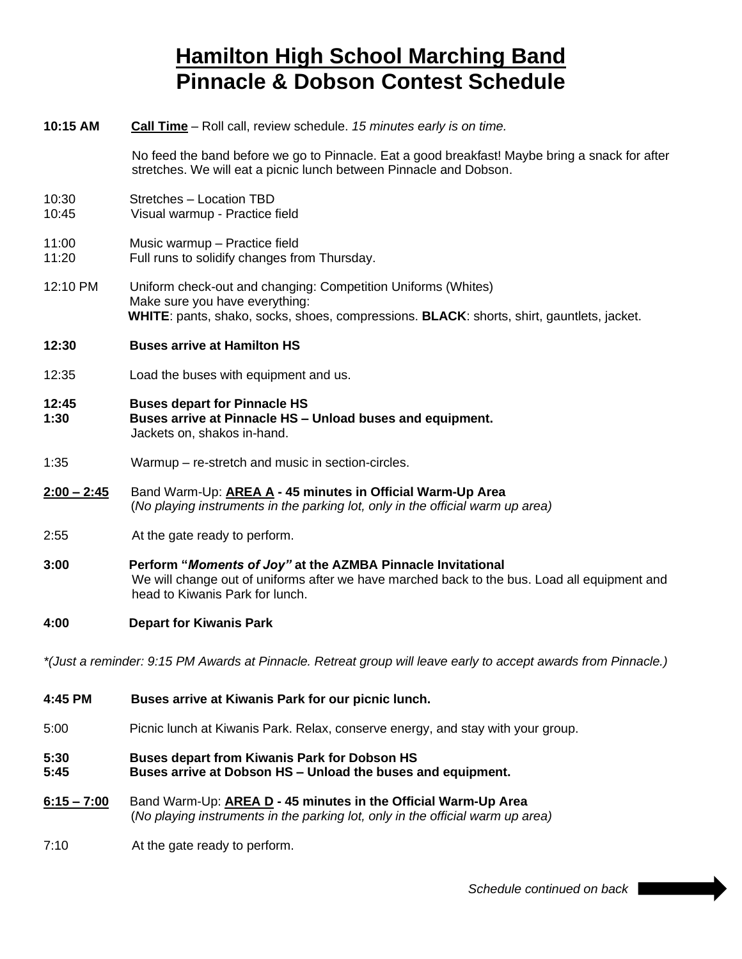# **Hamilton High School Marching Band Pinnacle & Dobson Contest Schedule**

| 10:15 AM                                                                                                       | Call Time - Roll call, review schedule. 15 minutes early is on time.                                                                                                                           |
|----------------------------------------------------------------------------------------------------------------|------------------------------------------------------------------------------------------------------------------------------------------------------------------------------------------------|
|                                                                                                                | No feed the band before we go to Pinnacle. Eat a good breakfast! Maybe bring a snack for after<br>stretches. We will eat a picnic lunch between Pinnacle and Dobson.                           |
| 10:30<br>10:45                                                                                                 | Stretches - Location TBD<br>Visual warmup - Practice field                                                                                                                                     |
| 11:00<br>11:20                                                                                                 | Music warmup - Practice field<br>Full runs to solidify changes from Thursday.                                                                                                                  |
| 12:10 PM                                                                                                       | Uniform check-out and changing: Competition Uniforms (Whites)<br>Make sure you have everything:<br>WHITE: pants, shako, socks, shoes, compressions. BLACK: shorts, shirt, gauntlets, jacket.   |
| 12:30                                                                                                          | <b>Buses arrive at Hamilton HS</b>                                                                                                                                                             |
| 12:35                                                                                                          | Load the buses with equipment and us.                                                                                                                                                          |
| 12:45<br>1:30                                                                                                  | <b>Buses depart for Pinnacle HS</b><br>Buses arrive at Pinnacle HS - Unload buses and equipment.<br>Jackets on, shakos in-hand.                                                                |
| 1:35                                                                                                           | Warmup – re-stretch and music in section-circles.                                                                                                                                              |
| $2:00 - 2:45$                                                                                                  | Band Warm-Up: <b>AREA A - 45 minutes in Official Warm-Up Area</b><br>(No playing instruments in the parking lot, only in the official warm up area)                                            |
| 2:55                                                                                                           | At the gate ready to perform.                                                                                                                                                                  |
| 3:00                                                                                                           | Perform "Moments of Joy" at the AZMBA Pinnacle Invitational<br>We will change out of uniforms after we have marched back to the bus. Load all equipment and<br>head to Kiwanis Park for lunch. |
| 4:00                                                                                                           | <b>Depart for Kiwanis Park</b>                                                                                                                                                                 |
| *(Just a reminder: 9:15 PM Awards at Pinnacle. Retreat group will leave early to accept awards from Pinnacle.) |                                                                                                                                                                                                |
| 4:45 PM                                                                                                        | Buses arrive at Kiwanis Park for our picnic lunch.                                                                                                                                             |

5:00 Picnic lunch at Kiwanis Park. Relax, conserve energy, and stay with your group.

## **5:30 Buses depart from Kiwanis Park for Dobson HS**

- **5:45 Buses arrive at Dobson HS – Unload the buses and equipment.**
- **6:15 – 7:00** Band Warm-Up: **AREA D - 45 minutes in the Official Warm-Up Area** (*No playing instruments in the parking lot, only in the official warm up area)*
- 7:10 At the gate ready to perform.